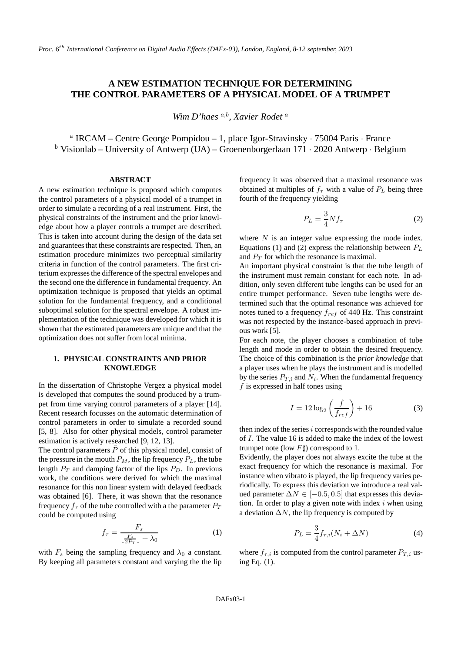# **A NEW ESTIMATION TECHNIQUE FOR DETERMINING THE CONTROL PARAMETERS OF A PHYSICAL MODEL OF A TRUMPET**

*Wim D'haes* a,b *, Xavier Rodet* <sup>a</sup>

<sup>a</sup> IRCAM – Centre George Pompidou – 1, place Igor-Stravinsky · 75004 Paris · France <sup>b</sup> Visionlab – University of Antwerp (UA) – Groenenborgerlaan  $171 \cdot 2020$  Antwerp · Belgium

### **ABSTRACT**

A new estimation technique is proposed which computes the control parameters of a physical model of a trumpet in order to simulate a recording of a real instrument. First, the physical constraints of the instrument and the prior knowledge about how a player controls a trumpet are described. This is taken into account during the design of the data set and guarantees that these constraints are respected. Then, an estimation procedure minimizes two perceptual similarity criteria in function of the control parameters. The first criterium expressesthe difference of the spectral envelopes and the second one the difference in fundamental frequency. An optimization technique is proposed that yields an optimal solution for the fundamental frequency, and a conditional suboptimal solution for the spectral envelope. A robust implementation of the technique was developed for which it is shown that the estimated parameters are unique and that the optimization does not suffer from local minima.

# **1. PHYSICAL CONSTRAINTS AND PRIOR KNOWLEDGE**

In the dissertation of Christophe Vergez a physical model is developed that computes the sound produced by a trumpet from time varying control parameters of a player [14]. Recent research focusses on the automatic determination of control parameters in order to simulate a recorded sound [5, 8]. Also for other physical models, control parameter estimation is actively researched [9, 12, 13].

The control parameters  $\bar{P}$  of this physical model, consist of the pressure in the mouth  $P_M$ , the lip frequency  $P_L$ , the tube length  $P_T$  and damping factor of the lips  $P_D$ . In previous work, the conditions were derived for which the maximal resonance for this non linear system with delayed feedback was obtained [6]. There, it was shown that the resonance frequency  $f_\tau$  of the tube controlled with a the parameter  $P_T$ could be computed using

$$
f_{\tau} = \frac{F_s}{\lfloor \frac{F_s}{2Pr} \rfloor + \lambda_0} \tag{1}
$$

with  $F_s$  being the sampling frequency and  $\lambda_0$  a constant. By keeping all parameters constant and varying the the lip

frequency it was observed that a maximal resonance was obtained at multiples of  $f_\tau$  with a value of  $P_L$  being three fourth of the frequency yielding

$$
P_L = \frac{3}{4} N f_\tau \tag{2}
$$

where  $N$  is an integer value expressing the mode index. Equations (1) and (2) express the relationship between  $P<sub>L</sub>$ and  $P_T$  for which the resonance is maximal.

An important physical constraint is that the tube length of the instrument must remain constant for each note. In addition, only seven different tube lengths can be used for an entire trumpet performance. Seven tube lengths were determined such that the optimal resonance was achieved for notes tuned to a frequency  $f_{ref}$  of 440 Hz. This constraint was not respected by the instance-based approach in previous work [5].

For each note, the player chooses a combination of tube length and mode in order to obtain the desired frequency. The choice of this combination is the *prior knowledge* that a player uses when he plays the instrument and is modelled by the series  $P_{T,i}$  and  $N_i$ . When the fundamental frequency  $f$  is expressed in half tones using

$$
I = 12\log_2\left(\frac{f}{f_{ref}}\right) + 16\tag{3}
$$

then index of the series  $i$  corresponds with the rounded value of I. The value 16 is added to make the index of the lowest trumpet note (low  $F\sharp$ ) correspond to 1.

Evidently, the player does not always excite the tube at the exact frequency for which the resonance is maximal. For instance when vibrato is played, the lip frequency varies periodically. To express this deviation we introduce a real valued parameter  $\Delta N \in [-0.5, 0.5]$  that expresses this deviation. In order to play a given note with index  $i$  when using a deviation  $\Delta N$ , the lip frequency is computed by

$$
P_L = \frac{3}{4} f_{\tau,i}(N_i + \Delta N) \tag{4}
$$

where  $f_{\tau,i}$  is computed from the control parameter  $P_{T,i}$  using Eq. (1).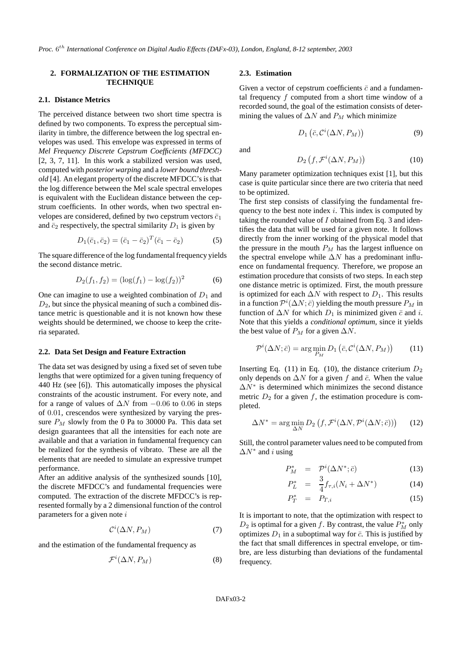# **2. FORMALIZATION OF THE ESTIMATION TECHNIQUE**

### **2.1. Distance Metrics**

The perceived distance between two short time spectra is defined by two components. To express the perceptual similarity in timbre, the difference between the log spectral envelopes was used. This envelope was expressed in terms of *Mel Frequency Discrete Cepstrum Coefficients (MFDCC)* [2, 3, 7, 11]. In this work a stabilized version was used, computed with *posterior warping* and a *lower bound threshold* [4]. An elegant property of the discrete MFDCC's is that the log difference between the Mel scale spectral envelopes is equivalent with the Euclidean distance between the cepstrum coefficients. In other words, when two spectral envelopes are considered, defined by two cepstrum vectors  $\bar{c}_1$ and  $\bar{c}_2$  respectively, the spectral similarity  $D_1$  is given by

$$
D_1(\bar{c}_1, \bar{c}_2) = (\bar{c}_1 - \bar{c}_2)^T (\bar{c}_1 - \bar{c}_2)
$$
 (5)

The square difference of the log fundamental frequency yields the second distance metric.

$$
D_2(f_1, f_2) = (\log(f_1) - \log(f_2))^2 \tag{6}
$$

One can imagine to use a weighted combination of  $D_1$  and  $D_2$ , but since the physical meaning of such a combined distance metric is questionable and it is not known how these weights should be determined, we choose to keep the criteria separated.

# **2.2. Data Set Design and Feature Extraction**

The data set was designed by using a fixed set of seven tube lengths that were optimized for a given tuning frequency of 440 Hz (see [6]). This automatically imposes the physical constraints of the acoustic instrument. For every note, and for a range of values of  $\Delta N$  from  $-0.06$  to 0.06 in steps of 0.01, crescendos were synthesized by varying the pressure  $P_M$  slowly from the 0 Pa to 30000 Pa. This data set design guarantees that all the intensities for each note are available and that a variation in fundamental frequency can be realized for the synthesis of vibrato. These are all the elements that are needed to simulate an expressive trumpet performance.

After an additive analysis of the synthesized sounds [10], the discrete MFDCC's and fundamental frequencies were computed. The extraction of the discrete MFDCC's is represented formally by a 2 dimensional function of the control parameters for a given note  $i$ 

$$
\mathcal{C}^i(\Delta N, P_M) \tag{7}
$$

and the estimation of the fundamental frequency as

$$
\mathcal{F}^i(\Delta N, P_M) \tag{8}
$$

### **2.3. Estimation**

Given a vector of cepstrum coefficients  $\bar{c}$  and a fundamental frequency  $f$  computed from a short time window of a recorded sound, the goal of the estimation consists of determining the values of  $\Delta N$  and  $P_M$  which minimize

$$
D_1\left(\bar{c}, \mathcal{C}^i(\Delta N, P_M)\right) \tag{9}
$$

and

$$
D_2\left(f, \mathcal{F}^i(\Delta N, P_M)\right) \tag{10}
$$

Many parameter optimization techniques exist [1], but this case is quite particular since there are two criteria that need to be optimized.

The first step consists of classifying the fundamental frequency to the best note index  $i$ . This index is computed by taking the rounded value of  $I$  obtained from Eq. 3 and identifies the data that will be used for a given note. It follows directly from the inner working of the physical model that the pressure in the mouth  $P_M$  has the largest influence on the spectral envelope while  $\Delta N$  has a predominant influence on fundamental frequency. Therefore, we propose an estimation procedure that consists of two steps. In each step one distance metric is optimized. First, the mouth pressure is optimized for each  $\Delta N$  with respect to  $D_1$ . This results in a function  $\mathcal{P}^i(\Delta N;\bar{c})$  yielding the mouth pressure  $P_M$  in function of  $\Delta N$  for which  $D_1$  is minimized given  $\bar{c}$  and i. Note that this yields a *conditional optimum*, since it yields the best value of  $P_M$  for a given  $\Delta N$ .

$$
\mathcal{P}^i(\Delta N; \bar{c}) = \arg\min_{P_M} D_1\left(\bar{c}, \mathcal{C}^i(\Delta N, P_M)\right) \tag{11}
$$

Inserting Eq. (11) in Eq. (10), the distance criterium  $D_2$ only depends on  $\Delta N$  for a given f and  $\bar{c}$ . When the value  $\Delta N^*$  is determined which minimizes the second distance metric  $D_2$  for a given f, the estimation procedure is completed.

$$
\Delta N^* = \arg\min_{\Delta N} D_2 \left( f, \mathcal{F}^i(\Delta N, \mathcal{P}^i(\Delta N; \bar{c})) \right) \tag{12}
$$

Still, the control parameter values need to be computed from  $\Delta N^*$  and *i* using

$$
P_M^* = \mathcal{P}^i(\Delta N^*; \bar{c}) \tag{13}
$$

$$
P_L^* = \frac{3}{4} f_{\tau,i}(N_i + \Delta N^*)
$$
 (14)

$$
P_T^* = P_{T,i} \tag{15}
$$

It is important to note, that the optimization with respect to  $D_2$  is optimal for a given f. By contrast, the value  $P_M^*$  only optimizes  $D_1$  in a suboptimal way for  $\bar{c}$ . This is justified by the fact that small differences in spectral envelope, or timbre, are less disturbing than deviations of the fundamental frequency.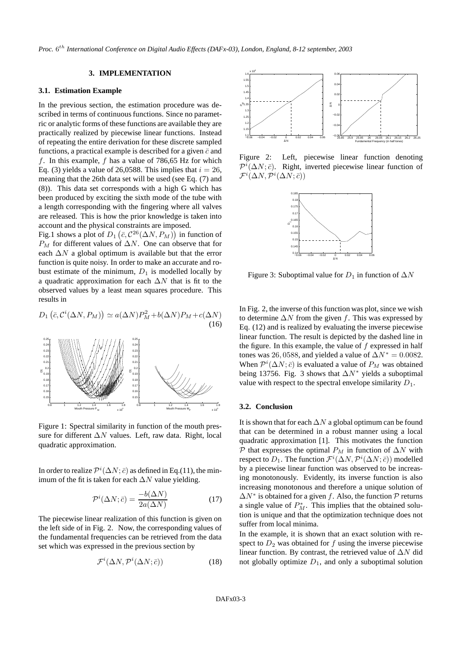# **3. IMPLEMENTATION**

#### **3.1. Estimation Example**

In the previous section, the estimation procedure was described in terms of continuous functions. Since no parametric or analytic forms of these functions are available they are practically realized by piecewise linear functions. Instead of repeating the entire derivation for these discrete sampled functions, a practical example is described for a given  $\bar{c}$  and f. In this example, f has a value of  $786,65$  Hz for which Eq. (3) yields a value of 26,0588. This implies that  $i = 26$ , meaning that the 26th data set will be used (see Eq. (7) and (8)). This data set corresponds with a high G which has been produced by exciting the sixth mode of the tube with a length corresponding with the fingering where all valves are released. This is how the prior knowledge is taken into account and the physical constraints are imposed.

Fig.1 shows a plot of  $D_1(\bar{c}, C^{26}(\Delta N, P_M))$  in function of  $P_M$  for different values of  $\Delta N$ . One can observe that for each  $\Delta N$  a global optimum is available but that the error function is quite noisy. In order to make an accurate and robust estimate of the minimum,  $D_1$  is modelled locally by a quadratic approximation for each  $\Delta N$  that is fit to the observed values by a least mean squares procedure. This results in

$$
D_1(\bar{c}, C^i(\Delta N, P_M)) \simeq a(\Delta N)P_M^2 + b(\Delta N)P_M + c(\Delta N)
$$
\n(16)



Figure 1: Spectral similarity in function of the mouth pressure for different ∆N values. Left, raw data. Right, local quadratic approximation.

In order to realize  $\mathcal{P}^i(\Delta N;\bar{c})$  as defined in Eq.(11), the minimum of the fit is taken for each  $\Delta N$  value yielding.

$$
\mathcal{P}^i(\Delta N; \bar{c}) = \frac{-b(\Delta N)}{2a(\Delta N)}
$$
(17)

The piecewise linear realization of this function is given on the left side of in Fig. 2. Now, the corresponding values of the fundamental frequencies can be retrieved from the data set which was expressed in the previous section by

$$
\mathcal{F}^i(\Delta N, \mathcal{P}^i(\Delta N; \bar{c}))\tag{18}
$$



Figure 2: Left, piecewise linear function denoting  $\mathcal{P}^i(\Delta N;\bar{c})$ . Right, inverted piecewise linear function of  $\mathcal{F}^i(\Delta N, \mathcal{P}^i(\Delta N;\bar{c}))$ 



Figure 3: Suboptimal value for  $D_1$  in function of  $\Delta N$ 

In Fig. 2, the inverse of this function was plot, since we wish to determine  $\Delta N$  from the given f. This was expressed by Eq. (12) and is realized by evaluating the inverse piecewise linear function. The result is depicted by the dashed line in the figure. In this example, the value of  $f$  expressed in half tones was 26, 0588, and yielded a value of  $\Delta N^* = 0.0082$ . When  $\mathcal{P}^i(\Delta N;\bar{c})$  is evaluated a value of  $P_M$  was obtained being 13756. Fig. 3 shows that  $\Delta N^*$  yields a suboptimal value with respect to the spectral envelope similarity  $D_1$ .

#### **3.2. Conclusion**

It is shown that for each  $\Delta N$  a global optimum can be found that can be determined in a robust manner using a local quadratic approximation [1]. This motivates the function P that expresses the optimal  $P_M$  in function of  $\Delta N$  with respect to  $D_1$ . The function  $\mathcal{F}^i(\Delta N, \mathcal{P}^i(\Delta N; \bar{c}))$  modelled by a piecewise linear function was observed to be increasing monotonously. Evidently, its inverse function is also increasing monotonous and therefore a unique solution of  $\Delta N^*$  is obtained for a given f. Also, the function P returns a single value of  $P_M^*$ . This implies that the obtained solution is unique and that the optimization technique does not suffer from local minima.

In the example, it is shown that an exact solution with respect to  $D_2$  was obtained for f using the inverse piecewise linear function. By contrast, the retrieved value of  $\Delta N$  did not globally optimize  $D_1$ , and only a suboptimal solution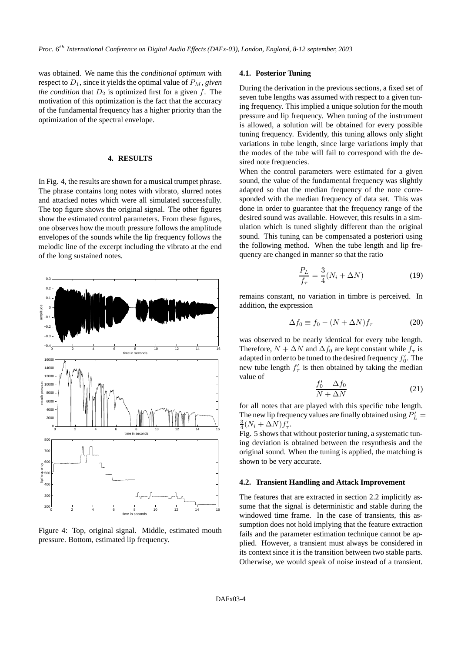was obtained. We name this the *conditional optimum* with respect to  $D_1$ , since it yields the optimal value of  $P_M$ , *given the condition* that  $D_2$  is optimized first for a given  $f$ . The motivation of this optimization is the fact that the accuracy of the fundamental frequency has a higher priority than the optimization of the spectral envelope.

#### **4. RESULTS**

In Fig. 4, the results are shown for a musical trumpet phrase. The phrase contains long notes with vibrato, slurred notes and attacked notes which were all simulated successfully. The top figure shows the original signal. The other figures show the estimated control parameters. From these figures, one observes how the mouth pressure follows the amplitude envelopes of the sounds while the lip frequency follows the melodic line of the excerpt including the vibrato at the end of the long sustained notes.



Figure 4: Top, original signal. Middle, estimated mouth pressure. Bottom, estimated lip frequency.

# **4.1. Posterior Tuning**

During the derivation in the previous sections, a fixed set of seven tube lengths was assumed with respect to a given tuning frequency. This implied a unique solution for the mouth pressure and lip frequency. When tuning of the instrument is allowed, a solution will be obtained for every possible tuning frequency. Evidently, this tuning allows only slight variations in tube length, since large variations imply that the modes of the tube will fail to correspond with the desired note frequencies.

When the control parameters were estimated for a given sound, the value of the fundamental frequency was slightly adapted so that the median frequency of the note corresponded with the median frequency of data set. This was done in order to guarantee that the frequency range of the desired sound was available. However, this results in a simulation which is tuned slightly different than the original sound. This tuning can be compensated a posteriori using the following method. When the tube length and lip frequency are changed in manner so that the ratio

$$
\frac{P_L}{f_\tau} = \frac{3}{4}(N_i + \Delta N) \tag{19}
$$

remains constant, no variation in timbre is perceived. In addition, the expression

$$
\Delta f_0 \equiv f_0 - (N + \Delta N) f_\tau \tag{20}
$$

was observed to be nearly identical for every tube length. Therefore,  $N + \Delta N$  and  $\Delta f_0$  are kept constant while  $f_\tau$  is adapted in order to be tuned to the desired frequency  $f'_0$ . The new tube length  $f'_{\tau}$  is then obtained by taking the median value of  $\overline{1}$ 

$$
\frac{f_0' - \Delta f_0}{N + \Delta N} \tag{21}
$$

for all notes that are played with this specific tube length. The new lip frequency values are finally obtained using  $P'_L =$  $\frac{3}{4}(N_i + \Delta N) f'_\tau.$ 

Fig. 5 shows that without posterior tuning, a systematic tuning deviation is obtained between the resynthesis and the original sound. When the tuning is applied, the matching is shown to be very accurate.

#### **4.2. Transient Handling and Attack Improvement**

The features that are extracted in section 2.2 implicitly assume that the signal is deterministic and stable during the windowed time frame. In the case of transients, this assumption does not hold implying that the feature extraction fails and the parameter estimation technique cannot be applied. However, a transient must always be considered in its context since it is the transition between two stable parts. Otherwise, we would speak of noise instead of a transient.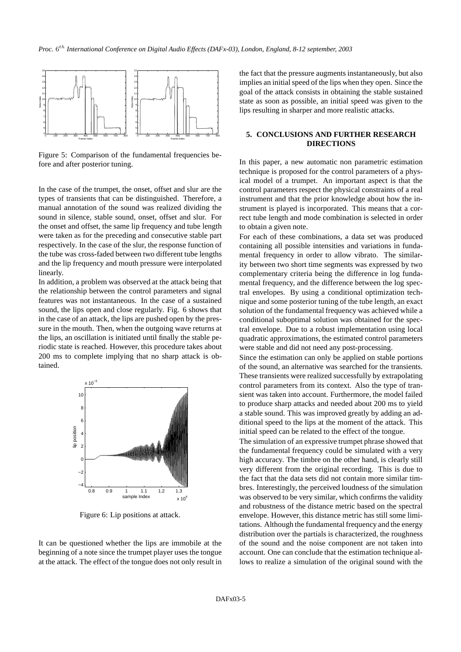

Figure 5: Comparison of the fundamental frequencies before and after posterior tuning.

In the case of the trumpet, the onset, offset and slur are the types of transients that can be distinguished. Therefore, a manual annotation of the sound was realized dividing the sound in silence, stable sound, onset, offset and slur. For the onset and offset, the same lip frequency and tube length were taken as for the preceding and consecutive stable part respectively. In the case of the slur, the response function of the tube was cross-faded between two different tube lengths and the lip frequency and mouth pressure were interpolated linearly.

In addition, a problem was observed at the attack being that the relationship between the control parameters and signal features was not instantaneous. In the case of a sustained sound, the lips open and close regularly. Fig. 6 shows that in the case of an attack, the lips are pushed open by the pressure in the mouth. Then, when the outgoing wave returns at the lips, an oscillation is initiated until finally the stable periodic state is reached. However, this procedure takes about 200 ms to complete implying that no sharp attack is obtained.



Figure 6: Lip positions at attack.

It can be questioned whether the lips are immobile at the beginning of a note since the trumpet player uses the tongue at the attack. The effect of the tongue does not only result in

the fact that the pressure augments instantaneously, but also implies an initial speed of the lips when they open. Since the goal of the attack consists in obtaining the stable sustained state as soon as possible, an initial speed was given to the lips resulting in sharper and more realistic attacks.

# **5. CONCLUSIONS AND FURTHER RESEARCH DIRECTIONS**

In this paper, a new automatic non parametric estimation technique is proposed for the control parameters of a physical model of a trumpet. An important aspect is that the control parameters respect the physical constraints of a real instrument and that the prior knowledge about how the instrument is played is incorporated. This means that a correct tube length and mode combination is selected in order to obtain a given note.

For each of these combinations, a data set was produced containing all possible intensities and variations in fundamental frequency in order to allow vibrato. The similarity between two short time segments was expressed by two complementary criteria being the difference in log fundamental frequency, and the difference between the log spectral envelopes. By using a conditional optimization technique and some posterior tuning of the tube length, an exact solution of the fundamental frequency was achieved while a conditional suboptimal solution was obtained for the spectral envelope. Due to a robust implementation using local quadratic approximations, the estimated control parameters were stable and did not need any post-processing.

Since the estimation can only be applied on stable portions of the sound, an alternative was searched for the transients. These transients were realized successfully by extrapolating control parameters from its context. Also the type of transient was taken into account. Furthermore, the model failed to produce sharp attacks and needed about 200 ms to yield a stable sound. This was improved greatly by adding an additional speed to the lips at the moment of the attack. This initial speed can be related to the effect of the tongue.

The simulation of an expressive trumpet phrase showed that the fundamental frequency could be simulated with a very high accuracy. The timbre on the other hand, is clearly still very different from the original recording. This is due to the fact that the data sets did not contain more similar timbres. Interestingly, the perceived loudness of the simulation was observed to be very similar, which confirms the validity and robustness of the distance metric based on the spectral envelope. However, this distance metric has still some limitations. Although the fundamental frequency and the energy distribution over the partials is characterized, the roughness of the sound and the noise component are not taken into account. One can conclude that the estimation technique allows to realize a simulation of the original sound with the